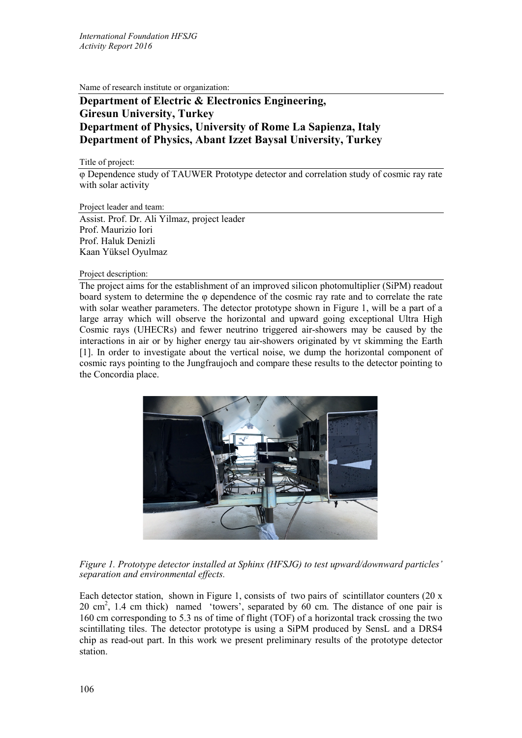Name of research institute or organization:

## **Department of Electric & Electronics Engineering, Giresun University, Turkey Department of Physics, University of Rome La Sapienza, Italy Department of Physics, Abant Izzet Baysal University, Turkey**

Title of project:

φ Dependence study of TAUWER Prototype detector and correlation study of cosmic ray rate with solar activity

Project leader and team:

Assist. Prof. Dr. Ali Yilmaz, project leader Prof. Maurizio Iori Prof. Haluk Denizli Kaan Yüksel Oyulmaz

Project description:

The project aims for the establishment of an improved silicon photomultiplier (SiPM) readout board system to determine the φ dependence of the cosmic ray rate and to correlate the rate with solar weather parameters. The detector prototype shown in Figure 1, will be a part of a large array which will observe the horizontal and upward going exceptional Ultra High Cosmic rays (UHECRs) and fewer neutrino triggered air-showers may be caused by the interactions in air or by higher energy tau air-showers originated by ντ skimming the Earth [1]. In order to investigate about the vertical noise, we dump the horizontal component of cosmic rays pointing to the Jungfraujoch and compare these results to the detector pointing to the Concordia place.



*Figure 1. Prototype detector installed at Sphinx (HFSJG) to test upward/downward particles' separation and environmental effects.*

Each detector station, shown in Figure 1, consists of two pairs of scintillator counters  $(20 x)$  $20 \text{ cm}^2$ , 1.4 cm thick) named 'towers', separated by 60 cm. The distance of one pair is 160 cm corresponding to 5.3 ns of time of flight (TOF) of a horizontal track crossing the two scintillating tiles. The detector prototype is using a SiPM produced by SensL and a DRS4 chip as read-out part. In this work we present preliminary results of the prototype detector station.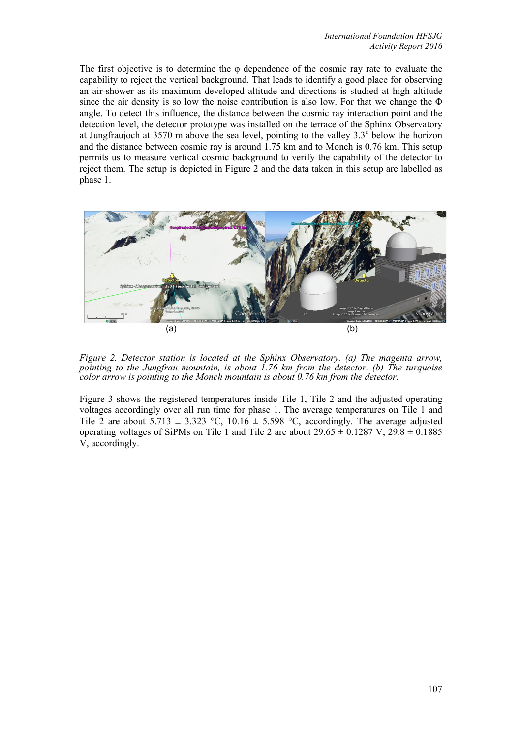The first objective is to determine the  $\varphi$  dependence of the cosmic ray rate to evaluate the capability to reject the vertical background. That leads to identify a good place for observing an air-shower as its maximum developed altitude and directions is studied at high altitude since the air density is so low the noise contribution is also low. For that we change the  $\Phi$ angle. To detect this influence, the distance between the cosmic ray interaction point and the detection level, the detector prototype was installed on the terrace of the Sphinx Observatory at Jungfraujoch at 3570 m above the sea level, pointing to the valley  $3.3^\circ$  below the horizon and the distance between cosmic ray is around 1.75 km and to Monch is 0.76 km. This setup permits us to measure vertical cosmic background to verify the capability of the detector to reject them. The setup is depicted in Figure 2 and the data taken in this setup are labelled as phase 1.



*Figure 2. Detector station is located at the Sphinx Observatory. (a) The magenta arrow, pointing to the Jungfrau mountain, is about 1.76 km from the detector. (b) The turquoise color arrow is pointing to the Monch mountain is about 0.76 km from the detector.*

Figure 3 shows the registered temperatures inside Tile 1, Tile 2 and the adjusted operating voltages accordingly over all run time for phase 1. The average temperatures on Tile 1 and Tile 2 are about  $5.713 \pm 3.323$  °C,  $10.16 \pm 5.598$  °C, accordingly. The average adjusted operating voltages of SiPMs on Tile 1 and Tile 2 are about  $29.65 \pm 0.1287$  V,  $29.8 \pm 0.1885$ V, accordingly.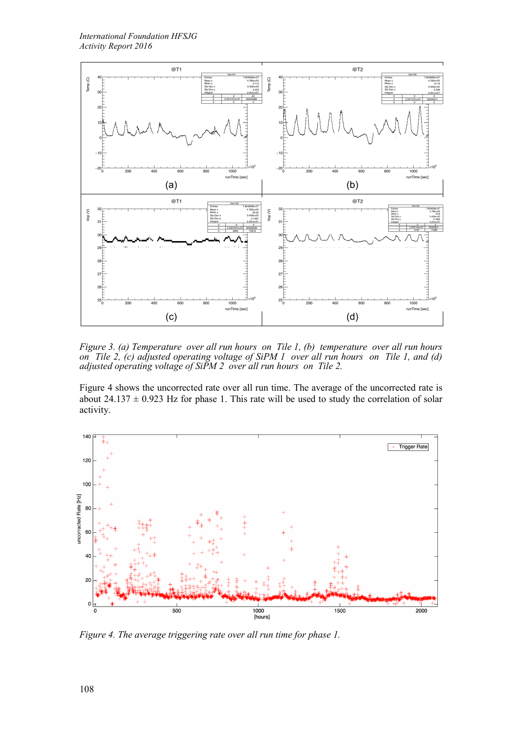

*Figure 3. (a) Temperature over all run hours on Tile 1, (b) temperature over all run hours on Tile 2, (c) adjusted operating voltage of SiPM 1 over all run hours on Tile 1, and (d) adjusted operating voltage of SiPM 2 over all run hours on Tile 2.*

Figure 4 shows the uncorrected rate over all run time. The average of the uncorrected rate is about  $24.137 \pm 0.923$  Hz for phase 1. This rate will be used to study the correlation of solar activity.



*Figure 4. The average triggering rate over all run time for phase 1.*